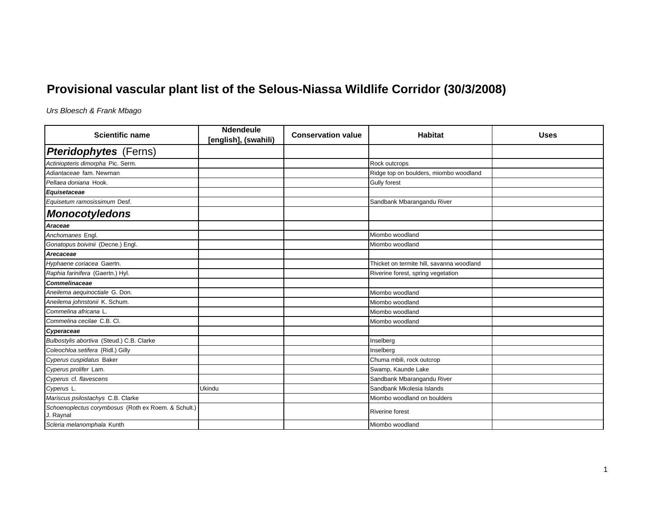## **Provisional vascular plant list of the Selous-Niassa Wildlife Corridor (30/3/2008)**

*Urs Bloesch & Frank Mbago*

| <b>Scientific name</b>                                           | <b>Ndendeule</b><br>[english], (swahili) | <b>Conservation value</b> | <b>Habitat</b>                            | <b>Uses</b> |
|------------------------------------------------------------------|------------------------------------------|---------------------------|-------------------------------------------|-------------|
| <b>Pteridophytes</b> (Ferns)                                     |                                          |                           |                                           |             |
| Actiniopteris dimorpha Pic. Serm.                                |                                          |                           | Rock outcrops                             |             |
| Adiantaceae fam. Newman                                          |                                          |                           | Ridge top on boulders, miombo woodland    |             |
| Pellaea doniana Hook.                                            |                                          |                           | <b>Gully forest</b>                       |             |
| Equisetaceae                                                     |                                          |                           |                                           |             |
| Equisetum ramosissimum Desf.                                     |                                          |                           | Sandbank Mbarangandu River                |             |
| <b>Monocotyledons</b>                                            |                                          |                           |                                           |             |
| Araceae                                                          |                                          |                           |                                           |             |
| Anchomanes Engl.                                                 |                                          |                           | Miombo woodland                           |             |
| Gonatopus boivinii (Decne.) Engl.                                |                                          |                           | Miombo woodland                           |             |
| Arecaceae                                                        |                                          |                           |                                           |             |
| Hyphaene coriacea Gaertn.                                        |                                          |                           | Thicket on termite hill, savanna woodland |             |
| Raphia farinifera (Gaertn.) Hyl.                                 |                                          |                           | Riverine forest, spring vegetation        |             |
| <b>Commelinaceae</b>                                             |                                          |                           |                                           |             |
| Aneilema aequinoctiale G. Don.                                   |                                          |                           | Miombo woodland                           |             |
| Aneilema johnstonii K. Schum.                                    |                                          |                           | Miombo woodland                           |             |
| Commelina africana L.                                            |                                          |                           | Miombo woodland                           |             |
| Commelina cecilae C.B. Cl.                                       |                                          |                           | Miombo woodland                           |             |
| Cyperaceae                                                       |                                          |                           |                                           |             |
| Bulbostylis abortiva (Steud.) C.B. Clarke                        |                                          |                           | Inselberg                                 |             |
| Coleochloa setifera (Ridl.) Gilly                                |                                          |                           | Inselberg                                 |             |
| Cyperus cuspidatus Baker                                         |                                          |                           | Chuma mbili, rock outcrop                 |             |
| Cyperus prolifer Lam.                                            |                                          |                           | Swamp, Kaunde Lake                        |             |
| Cyperus cf. flavescens                                           |                                          |                           | Sandbank Mbarangandu River                |             |
| Cyperus L.                                                       | Ukindu                                   |                           | Sandbank Mkolesia Islands                 |             |
| Mariscus psilostachys C.B. Clarke                                |                                          |                           | Miombo woodland on boulders               |             |
| Schoenoplectus corymbosus (Roth ex Roem. & Schult.)<br>J. Raynal |                                          |                           | <b>Riverine forest</b>                    |             |
| Scleria melanomphala Kunth                                       |                                          |                           | Miombo woodland                           |             |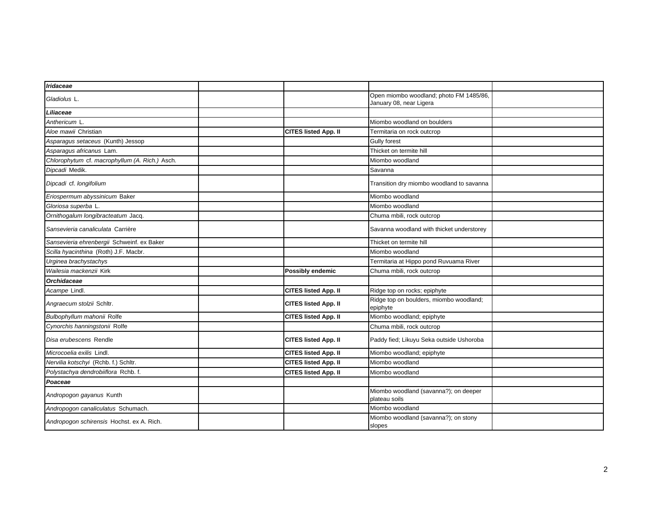| <b>Iridaceae</b>                               |                             |                                                                    |  |
|------------------------------------------------|-----------------------------|--------------------------------------------------------------------|--|
| Gladiolus L.                                   |                             | Open miombo woodland; photo FM 1485/86,<br>January 08, near Ligera |  |
| Liliaceae                                      |                             |                                                                    |  |
| Anthericum L                                   |                             | Miombo woodland on boulders                                        |  |
| Aloe mawii Christian                           | <b>CITES listed App. II</b> | Termitaria on rock outcrop                                         |  |
| Asparagus setaceus (Kunth) Jessop              |                             | Gully forest                                                       |  |
| Asparagus africanus Lam.                       |                             | Thicket on termite hill                                            |  |
| Chlorophytum cf. macrophyllum (A. Rich.) Asch. |                             | Miombo woodland                                                    |  |
| Dipcadi Medik.                                 |                             | Savanna                                                            |  |
| Dipcadi cf. longifolium                        |                             | Transition dry miombo woodland to savanna                          |  |
| Eriospermum abyssinicum Baker                  |                             | Miombo woodland                                                    |  |
| Gloriosa superba L.                            |                             | Miombo woodland                                                    |  |
| Ornithogalum longibracteatum Jacq.             |                             | Chuma mbili, rock outcrop                                          |  |
| Sansevieria canaliculata Carrière              |                             | Savanna woodland with thicket understorey                          |  |
| Sansevieria ehrenbergii Schweinf. ex Baker     |                             | Thicket on termite hill                                            |  |
| Scilla hyacinthina (Roth) J.F. Macbr.          |                             | Miombo woodland                                                    |  |
| Urginea brachystachys                          |                             | Termitaria at Hippo pond Ruvuama River                             |  |
| Wailesia mackenzii Kirk                        | Possibly endemic            | Chuma mbili, rock outcrop                                          |  |
| <b>Orchidaceae</b>                             |                             |                                                                    |  |
| Acampe Lindl.                                  | CITES listed App. II        | Ridge top on rocks; epiphyte                                       |  |
| Angraecum stolzii Schltr.                      | <b>CITES listed App. II</b> | Ridge top on boulders, miombo woodland;<br>epiphyte                |  |
| Bulbophyllum mahonii Rolfe                     | <b>CITES listed App. II</b> | Miombo woodland; epiphyte                                          |  |
| Cynorchis hanningstonii Rolfe                  |                             | Chuma mbili, rock outcrop                                          |  |
| Disa erubescens Rendle                         | <b>CITES listed App. II</b> | Paddy fied; Likuyu Seka outside Ushoroba                           |  |
| Microcoelia exilis Lindl.                      | <b>CITES listed App. II</b> | Miombo woodland; epiphyte                                          |  |
| Nervilia kotschyi (Rchb. f.) Schltr.           | <b>CITES listed App. II</b> | Miombo woodland                                                    |  |
| Polystachya dendrobiiflora Rchb. f.            | <b>CITES listed App. II</b> | Miombo woodland                                                    |  |
| Poaceae                                        |                             |                                                                    |  |
| Andropogon gayanus Kunth                       |                             | Miombo woodland (savanna?); on deeper<br>plateau soils             |  |
| Andropogon canaliculatus Schumach.             |                             | Miombo woodland                                                    |  |
| Andropogon schirensis Hochst. ex A. Rich.      |                             | Miombo woodland (savanna?); on stony<br>slopes                     |  |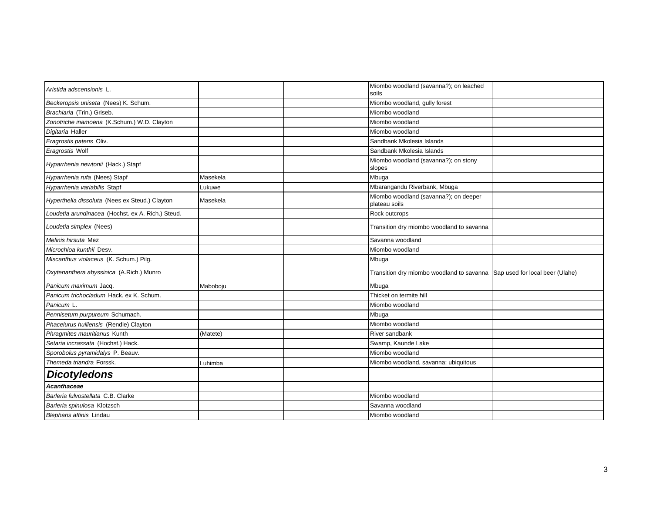| Aristida adscensionis L.                          |          | Miombo woodland (savanna?); on leached<br>soils                           |  |
|---------------------------------------------------|----------|---------------------------------------------------------------------------|--|
| Beckeropsis uniseta (Nees) K. Schum.              |          | Miombo woodland, gully forest                                             |  |
| Brachiaria (Trin.) Griseb.                        |          | Miombo woodland                                                           |  |
| Zonotriche inamoena (K.Schum.) W.D. Clayton       |          | Miombo woodland                                                           |  |
| Digitaria Haller                                  |          | Miombo woodland                                                           |  |
| Eragrostis patens Oliv.                           |          | Sandbank Mkolesia Islands                                                 |  |
| Eragrostis Wolf                                   |          | Sandbank Mkolesia Islands                                                 |  |
| Hyparrhenia newtonii (Hack.) Stapf                |          | Miombo woodland (savanna?); on stony<br>slopes                            |  |
| Hyparrhenia rufa (Nees) Stapf                     | Masekela | Mbuga                                                                     |  |
| Hyparrhenia variabilis Stapf                      | Lukuwe   | Mbarangandu Riverbank, Mbuga                                              |  |
| Hyperthelia dissoluta (Nees ex Steud.) Clayton    | Masekela | Miombo woodland (savanna?); on deeper<br>plateau soils                    |  |
| Loudetia arundinacea (Hochst. ex A. Rich.) Steud. |          | Rock outcrops                                                             |  |
| Loudetia simplex (Nees)                           |          | Transition dry miombo woodland to savanna                                 |  |
| Melinis hirsuta Mez                               |          | Savanna woodland                                                          |  |
| Microchloa kunthii Desv.                          |          | Miombo woodland                                                           |  |
| Miscanthus violaceus (K. Schum.) Pilg.            |          | Mbuga                                                                     |  |
| Oxytenanthera abyssinica (A.Rich.) Munro          |          | Transition dry miombo woodland to savanna Sap used for local beer (Ulahe) |  |
| Panicum maximum Jacq.                             | Maboboju | Mbuga                                                                     |  |
| Panicum trichocladum Hack. ex K. Schum.           |          | Thicket on termite hill                                                   |  |
| Panicum L.                                        |          | Miombo woodland                                                           |  |
| Pennisetum purpureum Schumach.                    |          | Mbuga                                                                     |  |
| Phacelurus huillensis (Rendle) Clayton            |          | Miombo woodland                                                           |  |
| Phragmites mauritianus Kunth                      | (Matete) | River sandbank                                                            |  |
| Setaria incrassata (Hochst.) Hack.                |          | Swamp, Kaunde Lake                                                        |  |
| Sporobolus pyramidalys P. Beauv.                  |          | Miombo woodland                                                           |  |
| Themeda triandra Forssk.                          | Luhimba  | Miombo woodland, savanna; ubiquitous                                      |  |
| <b>Dicotyledons</b>                               |          |                                                                           |  |
| <b>Acanthaceae</b>                                |          |                                                                           |  |
| Barleria fulvostellata C.B. Clarke                |          | Miombo woodland                                                           |  |
| Barleria spinulosa Klotzsch                       |          | Savanna woodland                                                          |  |
| Blepharis affinis Lindau                          |          | Miombo woodland                                                           |  |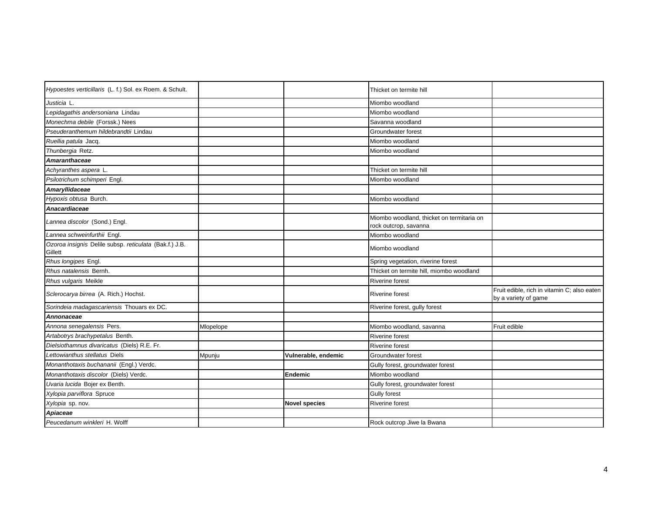| Hypoestes verticillaris (L. f.) Sol. ex Roem. & Schult.           |           |                      | Thicket on termite hill                                            |                                                                     |
|-------------------------------------------------------------------|-----------|----------------------|--------------------------------------------------------------------|---------------------------------------------------------------------|
| Justicia L.                                                       |           |                      | Miombo woodland                                                    |                                                                     |
| Lepidagathis andersoniana Lindau                                  |           |                      | Miombo woodland                                                    |                                                                     |
| Monechma debile (Forssk.) Nees                                    |           |                      | Savanna woodland                                                   |                                                                     |
| Pseuderanthemum hildebrandtii Lindau                              |           |                      | Groundwater forest                                                 |                                                                     |
| Ruellia patula Jacq.                                              |           |                      | Miombo woodland                                                    |                                                                     |
| Thunbergia Retz.                                                  |           |                      | Miombo woodland                                                    |                                                                     |
| Amaranthaceae                                                     |           |                      |                                                                    |                                                                     |
| Achyranthes aspera L.                                             |           |                      | Thicket on termite hill                                            |                                                                     |
| Psilotrichum schimperi Engl.                                      |           |                      | Miombo woodland                                                    |                                                                     |
| Amaryllidaceae                                                    |           |                      |                                                                    |                                                                     |
| Hypoxis obtusa Burch.                                             |           |                      | Miombo woodland                                                    |                                                                     |
| Anacardiaceae                                                     |           |                      |                                                                    |                                                                     |
| Lannea discolor (Sond.) Engl.                                     |           |                      | Miombo woodland, thicket on termitaria on<br>rock outcrop, savanna |                                                                     |
| Lannea schweinfurthii Engl.                                       |           |                      | Miombo woodland                                                    |                                                                     |
| Ozoroa insignis Delile subsp. reticulata (Bak.f.) J.B.<br>Gillett |           |                      | Miombo woodland                                                    |                                                                     |
| Rhus longipes Engl.                                               |           |                      | Spring vegetation, riverine forest                                 |                                                                     |
| Rhus natalensis Bernh.                                            |           |                      | Thicket on termite hill, miombo woodland                           |                                                                     |
| Rhus vulgaris Meikle                                              |           |                      | <b>Riverine forest</b>                                             |                                                                     |
| Sclerocarya birrea (A. Rich.) Hochst.                             |           |                      | <b>Riverine forest</b>                                             | Fruit edible, rich in vitamin C; also eaten<br>by a variety of game |
| Sorindeia madagascariensis Thouars ex DC.                         |           |                      | Riverine forest, gully forest                                      |                                                                     |
| Annonaceae                                                        |           |                      |                                                                    |                                                                     |
| Annona senegalensis Pers.                                         | Mlopelope |                      | Miombo woodland, savanna                                           | Fruit edible                                                        |
| Artabotrys brachypetalus Benth.                                   |           |                      | <b>Riverine forest</b>                                             |                                                                     |
| Dielsiothamnus divaricatus (Diels) R.E. Fr.                       |           |                      | <b>Riverine forest</b>                                             |                                                                     |
| Lettowianthus stellatus Diels                                     | Mpunju    | Vulnerable, endemic  | Groundwater forest                                                 |                                                                     |
| Monanthotaxis buchananii (Engl.) Verdc.                           |           |                      | Gully forest, groundwater forest                                   |                                                                     |
| Monanthotaxis discolor (Diels) Verdc.                             |           | <b>Endemic</b>       | Miombo woodland                                                    |                                                                     |
| Uvaria lucida Bojer ex Benth.                                     |           |                      | Gully forest, groundwater forest                                   |                                                                     |
| Xylopia parviflora Spruce                                         |           |                      | <b>Gully forest</b>                                                |                                                                     |
| Xylopia sp. nov.                                                  |           | <b>Novel species</b> | Riverine forest                                                    |                                                                     |
| Apiaceae                                                          |           |                      |                                                                    |                                                                     |
| Peucedanum winkleri H. Wolff                                      |           |                      | Rock outcrop Jiwe la Bwana                                         |                                                                     |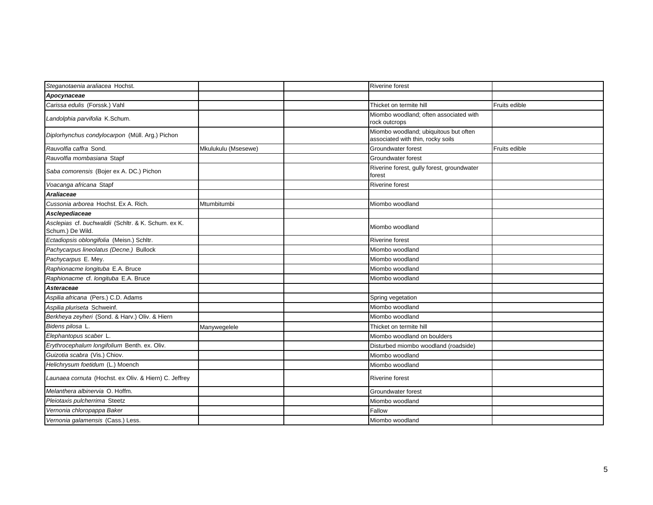| Steganotaenia araliacea Hochst.                                         |                     | <b>Riverine forest</b>                                                     |               |
|-------------------------------------------------------------------------|---------------------|----------------------------------------------------------------------------|---------------|
| Apocynaceae                                                             |                     |                                                                            |               |
| Carissa edulis (Forssk.) Vahl                                           |                     | Thicket on termite hill                                                    | Fruits edible |
| Landolphia parvifolia K.Schum.                                          |                     | Miombo woodland; often associated with<br>rock outcrops                    |               |
| Diplorhynchus condylocarpon (Müll. Arg.) Pichon                         |                     | Miombo woodland; ubiquitous but often<br>associated with thin, rocky soils |               |
| Rauvolfia caffra Sond.                                                  | Mkulukulu (Msesewe) | Groundwater forest                                                         | Fruits edible |
| Rauvolfia mombasiana Stapf                                              |                     | Groundwater forest                                                         |               |
| Saba comorensis (Bojer ex A. DC.) Pichon                                |                     | Riverine forest, gully forest, groundwater<br>forest                       |               |
| Voacanga africana Stapf                                                 |                     | <b>Riverine forest</b>                                                     |               |
| Araliaceae                                                              |                     |                                                                            |               |
| Cussonia arborea Hochst, Ex A. Rich.                                    | Mtumbitumbi         | Miombo woodland                                                            |               |
| Asclepediaceae                                                          |                     |                                                                            |               |
| Asclepias cf. buchwaldii (Schltr. & K. Schum. ex K.<br>Schum.) De Wild. |                     | Miombo woodland                                                            |               |
| Ectadiopsis oblongifolia (Meisn.) Schltr.                               |                     | <b>Riverine forest</b>                                                     |               |
| Pachycarpus lineolatus (Decne.) Bullock                                 |                     | Miombo woodland                                                            |               |
| Pachycarpus E. Mey.                                                     |                     | Miombo woodland                                                            |               |
| Raphionacme longituba E.A. Bruce                                        |                     | Miombo woodland                                                            |               |
| Raphionacme cf. longituba E.A. Bruce                                    |                     | Miombo woodland                                                            |               |
| Asteraceae                                                              |                     |                                                                            |               |
| Aspilia africana (Pers.) C.D. Adams                                     |                     | Spring vegetation                                                          |               |
| Aspilia pluriseta Schweinf.                                             |                     | Miombo woodland                                                            |               |
| Berkheya zeyheri (Sond. & Harv.) Oliv. & Hiern                          |                     | Miombo woodland                                                            |               |
| Bidens pilosa L.                                                        | Manywegelele        | Thicket on termite hill                                                    |               |
| Elephantopus scaber L.                                                  |                     | Miombo woodland on boulders                                                |               |
| Erythrocephalum longifolium Benth. ex. Oliv.                            |                     | Disturbed miombo woodland (roadside)                                       |               |
| Guizotia scabra (Vis.) Chiov.                                           |                     | Miombo woodland                                                            |               |
| Helichrysum foetidum (L.) Moench                                        |                     | Miombo woodland                                                            |               |
| Launaea cornuta (Hochst. ex Oliv. & Hiern) C. Jeffrey                   |                     | Riverine forest                                                            |               |
| Melanthera albinervia O. Hoffm.                                         |                     | Groundwater forest                                                         |               |
| Pleiotaxis pulcherrima Steetz                                           |                     | Miombo woodland                                                            |               |
| Vernonia chloropappa Baker                                              |                     | Fallow                                                                     |               |
| Vernonia galamensis (Cass.) Less.                                       |                     | Miombo woodland                                                            |               |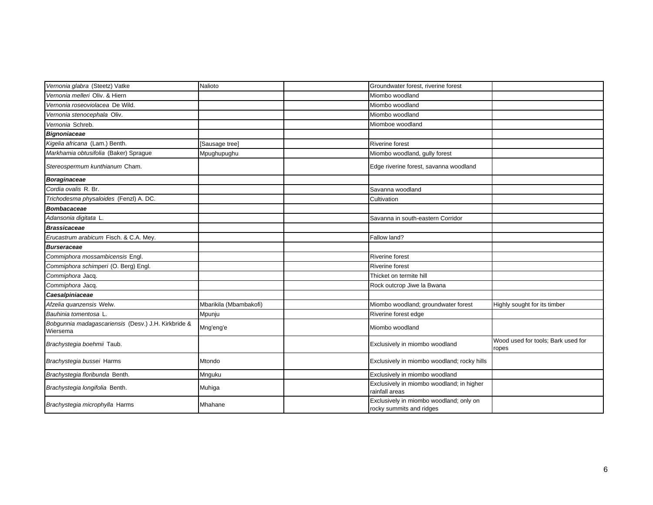| Vernonia glabra (Steetz) Vatke                                  | Nalioto                | Groundwater forest, riverine forest                                 |                                             |
|-----------------------------------------------------------------|------------------------|---------------------------------------------------------------------|---------------------------------------------|
| Vernonia melleri Oliv. & Hiern                                  |                        | Miombo woodland                                                     |                                             |
| Vernonia roseoviolacea De Wild.                                 |                        | Miombo woodland                                                     |                                             |
| Vernonia stenocephala Oliv.                                     |                        | Miombo woodland                                                     |                                             |
| Vernonia Schreb.                                                |                        | Miomboe woodland                                                    |                                             |
| <b>Bignoniaceae</b>                                             |                        |                                                                     |                                             |
| Kigelia africana (Lam.) Benth.                                  | [Sausage tree]         | <b>Riverine forest</b>                                              |                                             |
| Markhamia obtusifolia (Baker) Sprague                           | Mpughupughu            | Miombo woodland, gully forest                                       |                                             |
| Stereospermum kunthianum Cham.                                  |                        | Edge riverine forest, savanna woodland                              |                                             |
| <b>Boraginaceae</b>                                             |                        |                                                                     |                                             |
| Cordia ovalis R. Br.                                            |                        | Savanna woodland                                                    |                                             |
| Trichodesma physaloides (Fenzl) A. DC.                          |                        | Cultivation                                                         |                                             |
| <b>Bombacaceae</b>                                              |                        |                                                                     |                                             |
| Adansonia digitata L.                                           |                        | Savanna in south-eastern Corridor                                   |                                             |
| <b>Brassicaceae</b>                                             |                        |                                                                     |                                             |
| Erucastrum arabicum Fisch. & C.A. Mey.                          |                        | Fallow land?                                                        |                                             |
| <b>Burseraceae</b>                                              |                        |                                                                     |                                             |
| Commiphora mossambicensis Engl.                                 |                        | <b>Riverine forest</b>                                              |                                             |
| Commiphora schimperi (O. Berg) Engl.                            |                        | <b>Riverine forest</b>                                              |                                             |
| Commiphora Jacq.                                                |                        | Thicket on termite hill                                             |                                             |
| Commiphora Jacq.                                                |                        | Rock outcrop Jiwe la Bwana                                          |                                             |
| Caesalpiniaceae                                                 |                        |                                                                     |                                             |
| Afzelia quanzensis Welw.                                        | Mbarikila (Mbambakofi) | Miombo woodland; groundwater forest                                 | Highly sought for its timber                |
| Bauhinia tomentosa L                                            | Mpunju                 | Riverine forest edge                                                |                                             |
| Bobgunnia madagascariensis (Desv.) J.H. Kirkbride &<br>Wiersema | Mng'eng'e              | Miombo woodland                                                     |                                             |
| Brachystegia boehmii Taub.                                      |                        | Exclusively in miombo woodland                                      | Wood used for tools; Bark used for<br>ropes |
| Brachystegia bussei Harms                                       | Mtondo                 | Exclusively in miombo woodland; rocky hills                         |                                             |
| Brachystegia floribunda Benth.                                  | Mnguku                 | Exclusively in miombo woodland                                      |                                             |
| Brachystegia longifolia Benth.                                  | Muhiga                 | Exclusively in miombo woodland; in higher<br>rainfall areas         |                                             |
| Brachystegia microphylla Harms                                  | Mhahane                | Exclusively in miombo woodland; only on<br>rocky summits and ridges |                                             |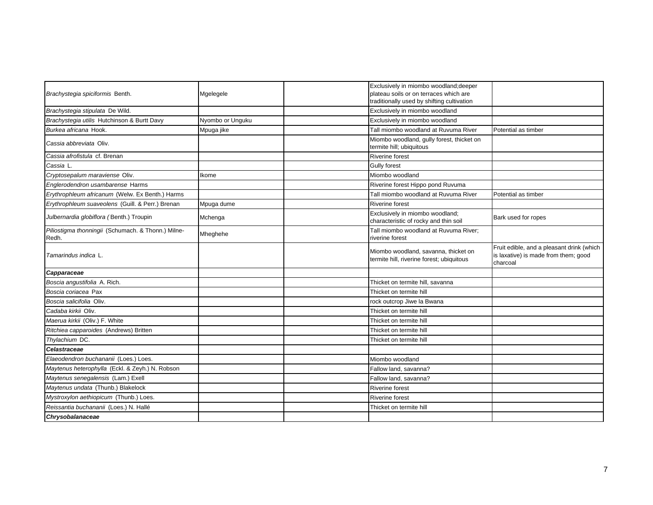| Brachystegia spiciformis Benth.                             | Mgelegele        | Exclusively in miombo woodland; deeper<br>plateau soils or on terraces which are  |                                                                                               |
|-------------------------------------------------------------|------------------|-----------------------------------------------------------------------------------|-----------------------------------------------------------------------------------------------|
|                                                             |                  | traditionally used by shifting cultivation                                        |                                                                                               |
| Brachystegia stipulata De Wild.                             |                  | Exclusively in miombo woodland                                                    |                                                                                               |
| Brachystegia utilis Hutchinson & Burtt Davy                 | Nyombo or Unguku | Exclusively in miombo woodland                                                    |                                                                                               |
| Burkea africana Hook.                                       | Mpuga jike       | Tall miombo woodland at Ruvuma River                                              | Potential as timber                                                                           |
| Cassia abbreviata Oliv.                                     |                  | Miombo woodland, gully forest, thicket on<br>termite hill; ubiquitous             |                                                                                               |
| Cassia afrofistula cf. Brenan                               |                  | <b>Riverine forest</b>                                                            |                                                                                               |
| Cassia L.                                                   |                  | <b>Gully forest</b>                                                               |                                                                                               |
| Cryptosepalum maraviense Oliv.                              | Ikome            | Miombo woodland                                                                   |                                                                                               |
| Englerodendron usambarense Harms                            |                  | Riverine forest Hippo pond Ruvuma                                                 |                                                                                               |
| Erythrophleum africanum (Welw. Ex Benth.) Harms             |                  | Tall miombo woodland at Ruvuma River                                              | Potential as timber                                                                           |
| Erythrophleum suaveolens (Guill. & Perr.) Brenan            | Mpuga dume       | <b>Riverine forest</b>                                                            |                                                                                               |
| Julbernardia globiflora (Benth.) Troupin                    | Mchenga          | Exclusively in miombo woodland;<br>characteristic of rocky and thin soil          | Bark used for ropes                                                                           |
| Piliostigma thonningii (Schumach. & Thonn.) Milne-<br>Redh. | Mheghehe         | Tall miombo woodland at Ruvuma River:<br>riverine forest                          |                                                                                               |
| Tamarindus indica L.                                        |                  | Miombo woodland, savanna, thicket on<br>termite hill, riverine forest; ubiquitous | Fruit edible, and a pleasant drink (which<br>is laxative) is made from them; good<br>charcoal |
| Capparaceae                                                 |                  |                                                                                   |                                                                                               |
| Boscia angustifolia A. Rich.                                |                  | Thicket on termite hill, savanna                                                  |                                                                                               |
| Boscia coriacea Pax                                         |                  | Thicket on termite hill                                                           |                                                                                               |
| Boscia salicifolia Oliv.                                    |                  | rock outcrop Jiwe la Bwana                                                        |                                                                                               |
| Cadaba kirkii Oliv.                                         |                  | Thicket on termite hill                                                           |                                                                                               |
| Maerua kirkii (Oliv.) F. White                              |                  | Thicket on termite hill                                                           |                                                                                               |
| Ritchiea capparoides (Andrews) Britten                      |                  | Thicket on termite hill                                                           |                                                                                               |
| Thylachium DC.                                              |                  | Thicket on termite hill                                                           |                                                                                               |
| Celastraceae                                                |                  |                                                                                   |                                                                                               |
| Elaeodendron buchananii (Loes.) Loes.                       |                  | Miombo woodland                                                                   |                                                                                               |
| Maytenus heterophylla (Eckl. & Zeyh.) N. Robson             |                  | Fallow land, savanna?                                                             |                                                                                               |
| Maytenus senegalensis (Lam.) Exell                          |                  | Fallow land, savanna?                                                             |                                                                                               |
| Maytenus undata (Thunb.) Blakelock                          |                  | <b>Riverine forest</b>                                                            |                                                                                               |
| Mystroxylon aethiopicum (Thunb.) Loes.                      |                  | <b>Riverine forest</b>                                                            |                                                                                               |
| Reissantia buchananii (Loes.) N. Hallé                      |                  | Thicket on termite hill                                                           |                                                                                               |
| Chrysobalanaceae                                            |                  |                                                                                   |                                                                                               |
|                                                             |                  |                                                                                   |                                                                                               |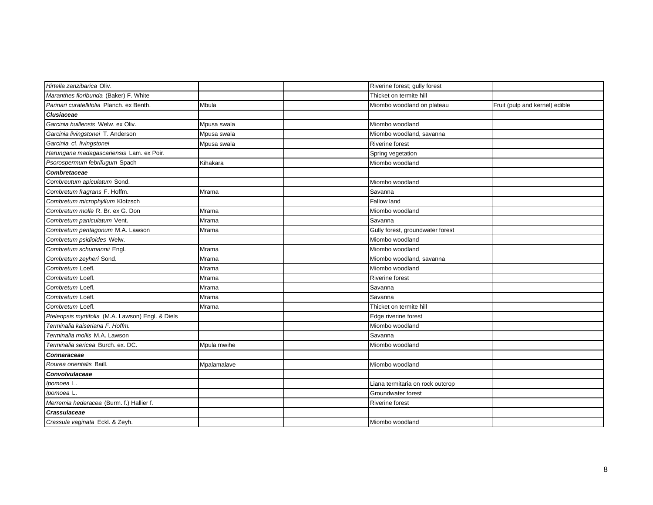| Hirtella zanzibarica Oliv.                        |             | Riverine forest; gully forest    |                                |
|---------------------------------------------------|-------------|----------------------------------|--------------------------------|
| Maranthes floribunda (Baker) F. White             |             | Thicket on termite hill          |                                |
| Parinari curatellifolia Planch, ex Benth.         | Mbula       | Miombo woodland on plateau       | Fruit (pulp and kernel) edible |
| <b>Clusiaceae</b>                                 |             |                                  |                                |
| Garcinia huillensis Welw, ex Oliv.                | Mpusa swala | Miombo woodland                  |                                |
| Garcinia livingstonei T. Anderson                 | Mpusa swala | Miombo woodland, savanna         |                                |
| Garcinia cf. livingstonei                         | Mpusa swala | Riverine forest                  |                                |
| Harungana madagascariensis Lam. ex Poir.          |             | Spring vegetation                |                                |
| Psorospermum febrifugum Spach                     | Kihakara    | Miombo woodland                  |                                |
| Combretaceae                                      |             |                                  |                                |
| Combreutum apiculatum Sond.                       |             | Miombo woodland                  |                                |
| Combretum fragrans F. Hoffm.                      | Mrama       | Savanna                          |                                |
| Combretum microphyllum Klotzsch                   |             | Fallow land                      |                                |
| Combretum molle R. Br. ex G. Don                  | Mrama       | Miombo woodland                  |                                |
| Combretum paniculatum Vent.                       | Mrama       | Savanna                          |                                |
| Combretum pentagonum M.A. Lawson                  | Mrama       | Gully forest, groundwater forest |                                |
| Combretum psidioides Welw.                        |             | Miombo woodland                  |                                |
| Combretum schumannii Engl.                        | Mrama       | Miombo woodland                  |                                |
| Combretum zeyheri Sond.                           | Mrama       | Miombo woodland, savanna         |                                |
| Combretum Loefl.                                  | Mrama       | Miombo woodland                  |                                |
| Combretum Loefl.                                  | Mrama       | Riverine forest                  |                                |
| Combretum Loefl.                                  | Mrama       | Savanna                          |                                |
| Combretum Loefl.                                  | Mrama       | Savanna                          |                                |
| Combretum Loefl.                                  | Mrama       | Thicket on termite hill          |                                |
| Pteleopsis myrtifolia (M.A. Lawson) Engl. & Diels |             | Edge riverine forest             |                                |
| Terminalia kaiseriana F. Hoffm.                   |             | Miombo woodland                  |                                |
| Terminalia mollis M.A. Lawson                     |             | Savanna                          |                                |
| Terminalia sericea Burch. ex. DC.                 | Mpula mwihe | Miombo woodland                  |                                |
| Connaraceae                                       |             |                                  |                                |
| Rourea orientalis Baill.                          | Mpalamalave | Miombo woodland                  |                                |
| <b>Convolvulaceae</b>                             |             |                                  |                                |
| Ipomoea L.                                        |             | Liana termitaria on rock outcrop |                                |
| Ipomoea L.                                        |             | Groundwater forest               |                                |
| Merremia hederacea (Burm. f.) Hallier f.          |             | Riverine forest                  |                                |
| <b>Crassulaceae</b>                               |             |                                  |                                |
| Crassula vaginata Eckl. & Zeyh.                   |             | Miombo woodland                  |                                |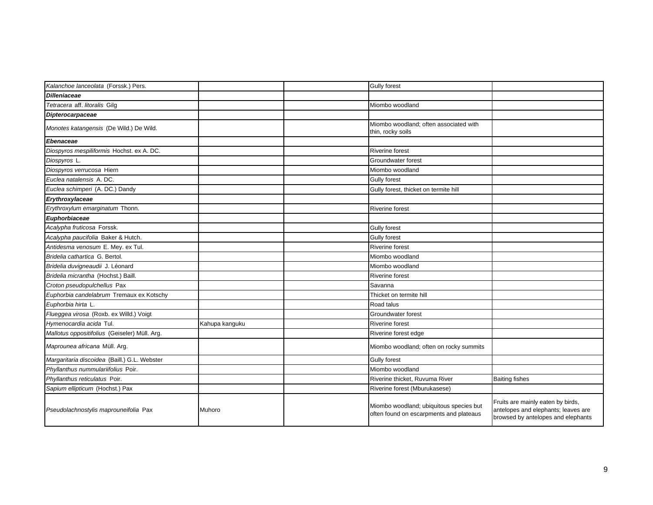| Kalanchoe lanceolata (Forssk.) Pers.          |                | <b>Gully forest</b>                                                                |                                                                                                                |
|-----------------------------------------------|----------------|------------------------------------------------------------------------------------|----------------------------------------------------------------------------------------------------------------|
| <b>Dilleniaceae</b>                           |                |                                                                                    |                                                                                                                |
| Tetracera aff. litoralis Gilg                 |                | Miombo woodland                                                                    |                                                                                                                |
| Dipterocarpaceae                              |                |                                                                                    |                                                                                                                |
| Monotes katangensis (De Wild.) De Wild.       |                | Miombo woodland; often associated with<br>thin, rocky soils                        |                                                                                                                |
| Ebenaceae                                     |                |                                                                                    |                                                                                                                |
| Diospyros mespiliformis Hochst. ex A. DC.     |                | Riverine forest                                                                    |                                                                                                                |
| Diospyros L.                                  |                | Groundwater forest                                                                 |                                                                                                                |
| Diospyros verrucosa Hiern                     |                | Miombo woodland                                                                    |                                                                                                                |
| Euclea natalensis A. DC.                      |                | <b>Gully forest</b>                                                                |                                                                                                                |
| Euclea schimperi (A. DC.) Dandy               |                | Gully forest, thicket on termite hill                                              |                                                                                                                |
| Erythroxylaceae                               |                |                                                                                    |                                                                                                                |
| Erythroxylum emarginatum Thonn.               |                | <b>Riverine forest</b>                                                             |                                                                                                                |
| Euphorbiaceae                                 |                |                                                                                    |                                                                                                                |
| Acalypha fruticosa Forssk.                    |                | <b>Gully forest</b>                                                                |                                                                                                                |
| Acalypha paucifolia Baker & Hutch.            |                | <b>Gully forest</b>                                                                |                                                                                                                |
| Antidesma venosum E. Mey. ex Tul.             |                | <b>Riverine forest</b>                                                             |                                                                                                                |
| Bridelia cathartica G. Bertol.                |                | Miombo woodland                                                                    |                                                                                                                |
| Bridelia duvigneaudii J. Léonard              |                | Miombo woodland                                                                    |                                                                                                                |
| Bridelia micrantha (Hochst.) Baill.           |                | <b>Riverine forest</b>                                                             |                                                                                                                |
| Croton pseudopulchellus Pax                   |                | Savanna                                                                            |                                                                                                                |
| Euphorbia candelabrum Tremaux ex Kotschy      |                | Thicket on termite hill                                                            |                                                                                                                |
| Euphorbia hirta L                             |                | Road talus                                                                         |                                                                                                                |
| Flueggea virosa (Roxb. ex Willd.) Voigt       |                | Groundwater forest                                                                 |                                                                                                                |
| Hymenocardia acida Tul.                       | Kahupa kanguku | <b>Riverine forest</b>                                                             |                                                                                                                |
| Mallotus oppositifolius (Geiseler) Müll. Arg. |                | Riverine forest edge                                                               |                                                                                                                |
| Maprounea africana Müll. Arg.                 |                | Miombo woodland; often on rocky summits                                            |                                                                                                                |
| Margaritaria discoidea (Baill.) G.L. Webster  |                | <b>Gully forest</b>                                                                |                                                                                                                |
| Phyllanthus nummulariifolius Poir.            |                | Miombo woodland                                                                    |                                                                                                                |
| Phyllanthus reticulatus Poir.                 |                | Riverine thicket, Ruvuma River                                                     | <b>Baiting fishes</b>                                                                                          |
| Sapium ellipticum (Hochst.) Pax               |                | Riverine forest (Mburukasese)                                                      |                                                                                                                |
| Pseudolachnostylis maprouneifolia Pax         | Muhoro         | Miombo woodland; ubiquitous species but<br>often found on escarpments and plateaus | Fruits are mainly eaten by birds,<br>antelopes and elephants; leaves are<br>browsed by antelopes and elephants |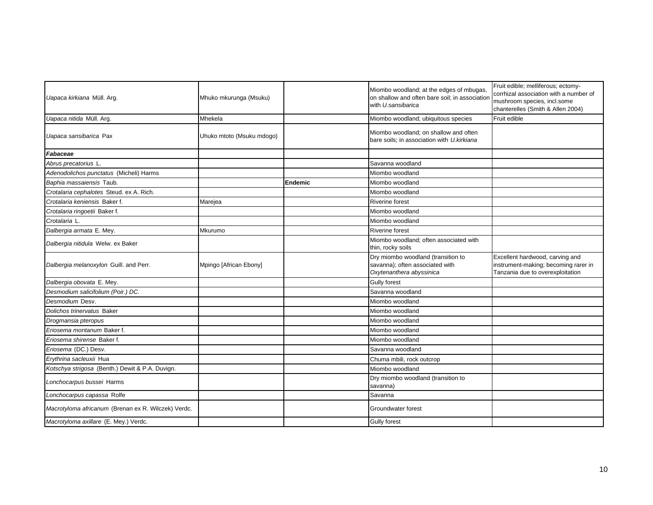| Uapaca kirkiana Müll. Arg.                          | Mhuko mkurunga (Msuku)    |         | Miombo woodland; at the edges of mbugas,<br>on shallow and often bare soil; in association<br>with U.sansibarica | Fruit edible; melliferous; ectomy-<br>corrhizal association with a number of<br>mushroom species, incl.some<br>chanterelles (Smith & Allen 2004) |
|-----------------------------------------------------|---------------------------|---------|------------------------------------------------------------------------------------------------------------------|--------------------------------------------------------------------------------------------------------------------------------------------------|
| Uapaca nitida Müll. Arg.                            | Mhekela                   |         | Miombo woodland; ubiquitous species                                                                              | Fruit edible                                                                                                                                     |
| Uapaca sansibarica Pax                              | Uhuko mtoto (Msuku mdogo) |         | Miombo woodland; on shallow and often<br>bare soils; in association with U.kirkiana                              |                                                                                                                                                  |
| Fabaceae                                            |                           |         |                                                                                                                  |                                                                                                                                                  |
| Abrus precatorius L.                                |                           |         | Savanna woodland                                                                                                 |                                                                                                                                                  |
| Adenodolichos punctatus (Micheli) Harms             |                           |         | Miombo woodland                                                                                                  |                                                                                                                                                  |
| Baphia massaiensis Taub.                            |                           | Endemic | Miombo woodland                                                                                                  |                                                                                                                                                  |
| Crotalaria cephalotes Steud. ex A. Rich.            |                           |         | Miombo woodland                                                                                                  |                                                                                                                                                  |
| Crotalaria keniensis Baker f.                       | Marejea                   |         | <b>Riverine forest</b>                                                                                           |                                                                                                                                                  |
| Crotalaria ringoetii Baker f.                       |                           |         | Miombo woodland                                                                                                  |                                                                                                                                                  |
| Crotalaria L.                                       |                           |         | Miombo woodland                                                                                                  |                                                                                                                                                  |
| Dalbergia armata E. Mey.                            | Mkurumo                   |         | <b>Riverine forest</b>                                                                                           |                                                                                                                                                  |
| Dalbergia nitidula Welw. ex Baker                   |                           |         | Miombo woodland; often associated with<br>thin, rocky soils                                                      |                                                                                                                                                  |
| Dalbergia melanoxylon Guill. and Perr.              | Mpingo [African Ebony]    |         | Dry miombo woodland (transition to<br>savanna); often associated with<br>Oxytenanthera abyssinica                | Excellent hardwood, carving and<br>instrument-making; becoming rarer in<br>Tanzania due to overexploitation                                      |
| Dalbergia obovata E. Mey.                           |                           |         | <b>Gully forest</b>                                                                                              |                                                                                                                                                  |
| Desmodium salicifolium (Poir.) DC.                  |                           |         | Savanna woodland                                                                                                 |                                                                                                                                                  |
| Desmodium Desv.                                     |                           |         | Miombo woodland                                                                                                  |                                                                                                                                                  |
| Dolichos trinervatus Baker                          |                           |         | Miombo woodland                                                                                                  |                                                                                                                                                  |
| Drogmansia pteropus                                 |                           |         | Miombo woodland                                                                                                  |                                                                                                                                                  |
| Eriosema montanum Baker f.                          |                           |         | Miombo woodland                                                                                                  |                                                                                                                                                  |
| Eriosema shirense Baker f.                          |                           |         | Miombo woodland                                                                                                  |                                                                                                                                                  |
| Eriosema (DC.) Desv.                                |                           |         | Savanna woodland                                                                                                 |                                                                                                                                                  |
| Erythrina sacleuxii Hua                             |                           |         | Chuma mbili, rock outcrop                                                                                        |                                                                                                                                                  |
| Kotschya strigosa (Benth.) Dewit & P.A. Duvign.     |                           |         | Miombo woodland                                                                                                  |                                                                                                                                                  |
| Lonchocarpus bussei Harms                           |                           |         | Dry miombo woodland (transition to<br>savanna)                                                                   |                                                                                                                                                  |
| Lonchocarpus capassa Rolfe                          |                           |         | Savanna                                                                                                          |                                                                                                                                                  |
| Macrotyloma africanum (Brenan ex R. Wilczek) Verdc. |                           |         | Groundwater forest                                                                                               |                                                                                                                                                  |
| Macrotyloma axillare (E. Mey.) Verdc.               |                           |         | <b>Gully forest</b>                                                                                              |                                                                                                                                                  |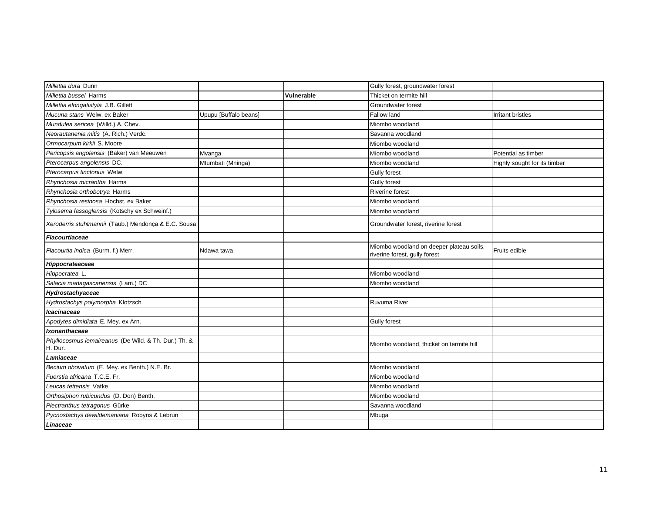| Millettia dura Dunn                                             |                       |                   | Gully forest, groundwater forest                                          |                              |
|-----------------------------------------------------------------|-----------------------|-------------------|---------------------------------------------------------------------------|------------------------------|
| Millettia bussei Harms                                          |                       | <b>Vulnerable</b> | Thicket on termite hill                                                   |                              |
| Millettia elongatistyla J.B. Gillett                            |                       |                   | Groundwater forest                                                        |                              |
| Mucuna stans Welw. ex Baker                                     | Upupu [Buffalo beans] |                   | Fallow land                                                               | <b>Irritant bristles</b>     |
| Mundulea sericea (Willd.) A. Chev.                              |                       |                   | Miombo woodland                                                           |                              |
| Neorautanenia mitis (A. Rich.) Verdc.                           |                       |                   | Savanna woodland                                                          |                              |
| Ormocarpum kirkii S. Moore                                      |                       |                   | Miombo woodland                                                           |                              |
| Pericopsis angolensis (Baker) van Meeuwen                       | Mvanga                |                   | Miombo woodland                                                           | Potential as timber          |
| Pterocarpus angolensis DC.                                      | Mtumbati (Mninga)     |                   | Miombo woodland                                                           | Highly sought for its timber |
| Pterocarpus tinctorius Welw.                                    |                       |                   | <b>Gully forest</b>                                                       |                              |
| Rhynchosia micrantha Harms                                      |                       |                   | <b>Gully forest</b>                                                       |                              |
| Rhynchosia orthobotrya Harms                                    |                       |                   | Riverine forest                                                           |                              |
| Rhynchosia resinosa Hochst. ex Baker                            |                       |                   | Miombo woodland                                                           |                              |
| Tylosema fassoglensis (Kotschy ex Schweinf.)                    |                       |                   | Miombo woodland                                                           |                              |
| Xeroderris stuhlmannii (Taub.) Mendonça & E.C. Sousa            |                       |                   | Groundwater forest, riverine forest                                       |                              |
| Flacourtiaceae                                                  |                       |                   |                                                                           |                              |
| Flacourtia indica (Burm. f.) Merr.                              | Ndawa tawa            |                   | Miombo woodland on deeper plateau soils,<br>riverine forest, gully forest | Fruits edible                |
| Hippocrateaceae                                                 |                       |                   |                                                                           |                              |
| Hippocratea L.                                                  |                       |                   | Miombo woodland                                                           |                              |
| Salacia madagascariensis (Lam.) DC                              |                       |                   | Miombo woodland                                                           |                              |
| Hydrostachyaceae                                                |                       |                   |                                                                           |                              |
| Hydrostachys polymorpha Klotzsch                                |                       |                   | <b>Ruvuma River</b>                                                       |                              |
| Icacinaceae                                                     |                       |                   |                                                                           |                              |
| Apodytes dimidiata E. Mey. ex Arn.                              |                       |                   | <b>Gully forest</b>                                                       |                              |
| Ixonanthaceae                                                   |                       |                   |                                                                           |                              |
| Phyllocosmus lemaireanus (De Wild. & Th. Dur.) Th. &<br>H. Dur. |                       |                   | Miombo woodland, thicket on termite hill                                  |                              |
| Lamiaceae                                                       |                       |                   |                                                                           |                              |
| Becium obovatum (E. Mey. ex Benth.) N.E. Br.                    |                       |                   | Miombo woodland                                                           |                              |
| Fuerstia africana T.C.E. Fr.                                    |                       |                   | Miombo woodland                                                           |                              |
| Leucas tettensis Vatke                                          |                       |                   | Miombo woodland                                                           |                              |
| Orthosiphon rubicundus (D. Don) Benth.                          |                       |                   | Miombo woodland                                                           |                              |
| Plectranthus tetragonus Gürke                                   |                       |                   | Savanna woodland                                                          |                              |
| Pycnostachys dewildemaniana Robyns & Lebrun                     |                       |                   | Mbuga                                                                     |                              |
| Linaceae                                                        |                       |                   |                                                                           |                              |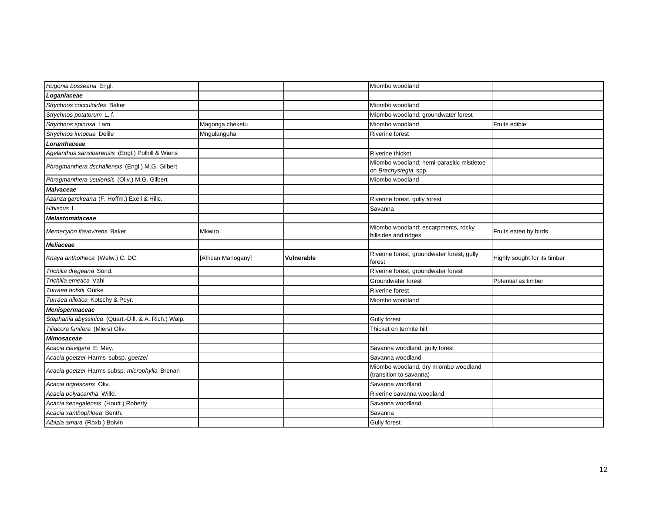| Hugonia busseana Engl.                               |                    |                   | Miombo woodland                                                   |                              |
|------------------------------------------------------|--------------------|-------------------|-------------------------------------------------------------------|------------------------------|
| Loganiaceae                                          |                    |                   |                                                                   |                              |
| Strychnos cocculoides Baker                          |                    |                   | Miombo woodland                                                   |                              |
| Strychnos potatorum L.f.                             |                    |                   | Miombo woodland; groundwater forest                               |                              |
| Strychnos spinosa Lam.                               | Magonga cheketu    |                   | Miombo woodland                                                   | Fruits edible                |
| Strychnos innocua Delile                             | Mngulanguha        |                   | <b>Riverine forest</b>                                            |                              |
| Loranthaceae                                         |                    |                   |                                                                   |                              |
| Agelanthus sansibarensis (Engl.) Polhill & Wiens     |                    |                   | <b>Riverine thicket</b>                                           |                              |
| Phragmanthera dschallensis (Engl.) M.G. Gilbert      |                    |                   | Miombo woodland; hemi-parasitic mistletoe<br>on Brachystegia spp. |                              |
| Phragmanthera usuiensis (Oliv.) M.G. Gilbert         |                    |                   | Miombo woodland                                                   |                              |
| <b>Malvaceae</b>                                     |                    |                   |                                                                   |                              |
| Azanza garckeana (F. Hoffm.) Exell & Hillc.          |                    |                   | Riverine forest, gully forest                                     |                              |
| Hibiscus L.                                          |                    |                   | Savanna                                                           |                              |
| Melastomataceae                                      |                    |                   |                                                                   |                              |
| Memecylon flavovirens Baker                          | <b>Mkwiro</b>      |                   | Miombo woodland; escarpments, rocky<br>hillsides and ridges       | Fruits eaten by birds        |
| <b>Meliaceae</b>                                     |                    |                   |                                                                   |                              |
| Khaya anthotheca (Welw.) C. DC.                      | [African Mahogany] | <b>Vulnerable</b> | Riverine forest, groundwater forest, gully<br>forest              | Highly sought for its timber |
| Trichilia dregeana Sond.                             |                    |                   | Riverine forest, groundwater forest                               |                              |
| Trichilia emetica Vahl                               |                    |                   | Groundwater forest                                                | Potential as timber          |
| Turraea holstii Gürke                                |                    |                   | <b>Riverine forest</b>                                            |                              |
| Turraea nilotica Kotschy & Peyr.                     |                    |                   | Miombo woodland                                                   |                              |
| Menispermaceae                                       |                    |                   |                                                                   |                              |
| Stephania abyssinica (Quart.-Dill. & A. Rich.) Walp. |                    |                   | <b>Gully forest</b>                                               |                              |
| Tiliacora funifera (Miers) Oliv.                     |                    |                   | Thicket on termite hill                                           |                              |
| <b>Mimosaceae</b>                                    |                    |                   |                                                                   |                              |
| Acacia clavigera E. Mey.                             |                    |                   | Savanna woodland, gully forest                                    |                              |
| Acacia goetzei Harms subsp. goetzei                  |                    |                   | Savanna woodland                                                  |                              |
| Acacia goetzei Harms subsp. microphylla Brenan       |                    |                   | Miombo woodland, dry miombo woodland<br>(transition to savanna)   |                              |
| Acacia nigrescens Oliv.                              |                    |                   | Savanna woodland                                                  |                              |
| Acacia polyacantha Willd.                            |                    |                   | Riverine savanna woodland                                         |                              |
| Acacia senegalensis (Houtt.) Roberty                 |                    |                   |                                                                   |                              |
|                                                      |                    |                   | Savanna woodland                                                  |                              |
| Acacia xanthophloea Benth.                           |                    |                   | Savanna                                                           |                              |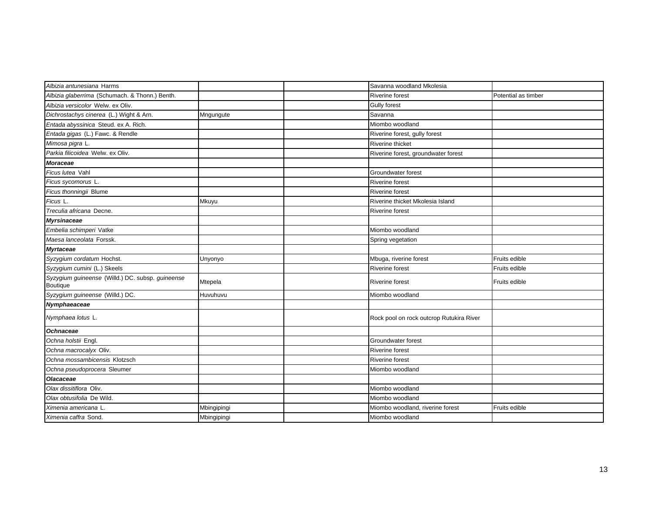| Albizia antunesiana Harms                                    |             | Savanna woodland Mkolesia                |                     |
|--------------------------------------------------------------|-------------|------------------------------------------|---------------------|
| Albizia glaberrima (Schumach. & Thonn.) Benth.               |             | Riverine forest                          | Potential as timber |
| Albizia versicolor Welw. ex Oliv.                            |             | <b>Gully forest</b>                      |                     |
| Dichrostachys cinerea (L.) Wight & Arn.                      | Mngungute   | Savanna                                  |                     |
| Entada abyssinica Steud. ex A. Rich.                         |             | Miombo woodland                          |                     |
| Entada gigas (L.) Fawc. & Rendle                             |             | Riverine forest, gully forest            |                     |
| Mimosa pigra L.                                              |             | Riverine thicket                         |                     |
| Parkia filicoidea Welw. ex Oliv.                             |             | Riverine forest, groundwater forest      |                     |
| <b>Moraceae</b>                                              |             |                                          |                     |
| Ficus lutea Vahl                                             |             | Groundwater forest                       |                     |
| Ficus sycomorus L.                                           |             | <b>Riverine forest</b>                   |                     |
| Ficus thonningii Blume                                       |             | Riverine forest                          |                     |
| Ficus L.                                                     | Mkuyu       | Riverine thicket Mkolesia Island         |                     |
| Treculia africana Decne.                                     |             | <b>Riverine forest</b>                   |                     |
| <b>Myrsinaceae</b>                                           |             |                                          |                     |
| Embelia schimperi Vatke                                      |             | Miombo woodland                          |                     |
| Maesa lanceolata Forssk.                                     |             | Spring vegetation                        |                     |
| <b>Myrtaceae</b>                                             |             |                                          |                     |
| Syzygium cordatum Hochst.                                    | Unyonyo     | Mbuga, riverine forest                   | Fruits edible       |
| Syzygium cumini (L.) Skeels                                  |             | <b>Riverine forest</b>                   | Fruits edible       |
| Syzygium guineense (Willd.) DC. subsp. guineense<br>Boutique | Mtepela     | Riverine forest                          | Fruits edible       |
| Syzygium guineense (Willd.) DC.                              | Huvuhuvu    | Miombo woodland                          |                     |
| Nymphaeaceae                                                 |             |                                          |                     |
| Nymphaea lotus L.                                            |             | Rock pool on rock outcrop Rutukira River |                     |
| <b>Ochnaceae</b>                                             |             |                                          |                     |
| Ochna holstii Engl.                                          |             | Groundwater forest                       |                     |
| Ochna macrocalyx Oliv.                                       |             | <b>Riverine forest</b>                   |                     |
| Ochna mossambicensis Klotzsch                                |             | <b>Riverine forest</b>                   |                     |
| Ochna pseudoprocera Sleumer                                  |             | Miombo woodland                          |                     |
| Olacaceae                                                    |             |                                          |                     |
| Olax dissitiflora Oliv.                                      |             | Miombo woodland                          |                     |
| Olax obtusifolia De Wild.                                    |             | Miombo woodland                          |                     |
| Ximenia americana L                                          | Mbingipingi | Miombo woodland, riverine forest         | Fruits edible       |
| Ximenia caffra Sond.                                         | Mbingipingi | Miombo woodland                          |                     |
|                                                              |             |                                          |                     |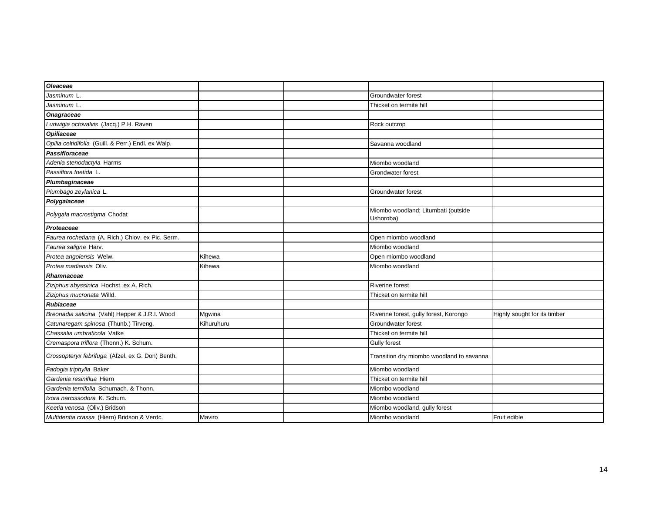| Oleaceae                                            |            |                                                  |                              |
|-----------------------------------------------------|------------|--------------------------------------------------|------------------------------|
| Jasminum L                                          |            | Groundwater forest                               |                              |
| Jasminum L.                                         |            | Thicket on termite hill                          |                              |
| <b>Onagraceae</b>                                   |            |                                                  |                              |
| Ludwigia octovalvis (Jacq.) P.H. Raven              |            | Rock outcrop                                     |                              |
| Opiliaceae                                          |            |                                                  |                              |
| Opilia celtidifolia (Guill. & Perr.) Endl. ex Walp. |            | Savanna woodland                                 |                              |
| Passifloraceae                                      |            |                                                  |                              |
| Adenia stenodactyla Harms                           |            | Miombo woodland                                  |                              |
| Passiflora foetida L.                               |            | Grondwater forest                                |                              |
| Plumbaginaceae                                      |            |                                                  |                              |
| Plumbago zeylanica L.                               |            | Groundwater forest                               |                              |
| Polygalaceae                                        |            |                                                  |                              |
| Polygala macrostigma Chodat                         |            | Miombo woodland; Litumbati (outside<br>Ushoroba) |                              |
| Proteaceae                                          |            |                                                  |                              |
| Faurea rochetiana (A. Rich.) Chiov. ex Pic. Serm.   |            | Open miombo woodland                             |                              |
| Faurea saligna Harv.                                |            | Miombo woodland                                  |                              |
| Protea angolensis Welw.                             | Kihewa     | Open miombo woodland                             |                              |
| Protea madiensis Oliv.                              | Kihewa     | Miombo woodland                                  |                              |
| Rhamnaceae                                          |            |                                                  |                              |
| Ziziphus abyssinica Hochst. ex A. Rich.             |            | <b>Riverine forest</b>                           |                              |
| Ziziphus mucronata Willd.                           |            | Thicket on termite hill                          |                              |
| <b>Rubiaceae</b>                                    |            |                                                  |                              |
| Breonadia salicina (Vahl) Hepper & J.R.I. Wood      | Mgwina     | Riverine forest, gully forest, Korongo           | Highly sought for its timber |
| Catunaregam spinosa (Thunb.) Tirveng.               | Kihuruhuru | Groundwater forest                               |                              |
| Chassalia umbraticola Vatke                         |            | Thicket on termite hill                          |                              |
| Cremaspora triflora (Thonn.) K. Schum.              |            | <b>Gully forest</b>                              |                              |
| Crossopteryx febrifuga (Afzel. ex G. Don) Benth.    |            | Transition dry miombo woodland to savanna        |                              |
| Fadogia triphylla Baker                             |            | Miombo woodland                                  |                              |
| Gardenia resiniflua Hiern                           |            | Thicket on termite hill                          |                              |
| Gardenia ternifolia Schumach. & Thonn.              |            | Miombo woodland                                  |                              |
| Ixora narcissodora K. Schum.                        |            | Miombo woodland                                  |                              |
| Keetia venosa (Oliv.) Bridson                       |            | Miombo woodland, gully forest                    |                              |
| Multidentia crassa (Hiern) Bridson & Verdc.         | Maviro     | Miombo woodland                                  | Fruit edible                 |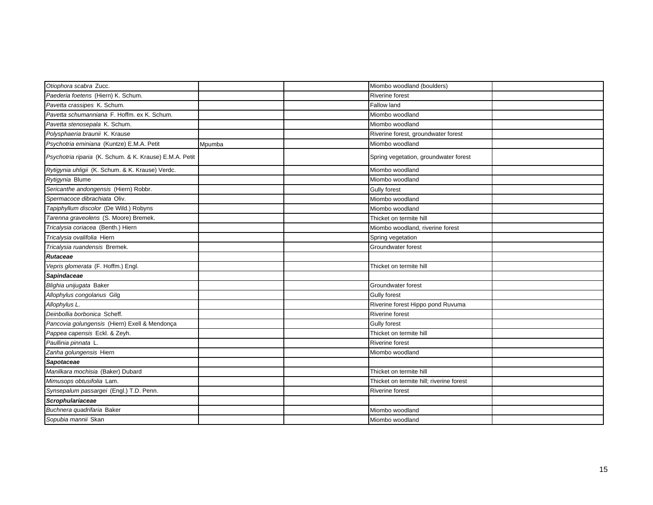| Otiophora scabra Zucc.                                  |        | Miombo woodland (boulders)               |  |
|---------------------------------------------------------|--------|------------------------------------------|--|
| Paederia foetens (Hiern) K. Schum.                      |        | <b>Riverine forest</b>                   |  |
| Pavetta crassipes K. Schum.                             |        | Fallow land                              |  |
| Pavetta schumanniana F. Hoffm. ex K. Schum.             |        | Miombo woodland                          |  |
| Pavetta stenosepala K. Schum.                           |        | Miombo woodland                          |  |
| Polysphaeria braunii K. Krause                          |        | Riverine forest, groundwater forest      |  |
| Psychotria eminiana (Kuntze) E.M.A. Petit               | Mpumba | Miombo woodland                          |  |
| Psychotria riparia (K. Schum. & K. Krause) E.M.A. Petit |        | Spring vegetation, groundwater forest    |  |
| Rytigynia uhligii (K. Schum. & K. Krause) Verdc.        |        | Miombo woodland                          |  |
| Rytigynia Blume                                         |        | Miombo woodland                          |  |
| Sericanthe andongensis (Hiern) Robbr.                   |        | <b>Gully forest</b>                      |  |
| Spermacoce dibrachiata Oliv.                            |        | Miombo woodland                          |  |
| Tapiphyllum discolor (De Wild.) Robyns                  |        | Miombo woodland                          |  |
| Tarenna graveolens (S. Moore) Bremek.                   |        | Thicket on termite hill                  |  |
| Tricalysia coriacea (Benth.) Hiern                      |        | Miombo woodland, riverine forest         |  |
| Tricalysia ovalifolia Hiern                             |        | Spring vegetation                        |  |
| Tricalysia ruandensis Bremek.                           |        | Groundwater forest                       |  |
| <b>Rutaceae</b>                                         |        |                                          |  |
| Vepris glomerata (F. Hoffm.) Engl.                      |        | Thicket on termite hill                  |  |
| Sapindaceae                                             |        |                                          |  |
| Blighia unijugata Baker                                 |        | Groundwater forest                       |  |
| Allophylus congolanus Gilg                              |        | <b>Gully forest</b>                      |  |
| Allophylus L.                                           |        | Riverine forest Hippo pond Ruvuma        |  |
| Deinbollia borbonica Scheff.                            |        | <b>Riverine forest</b>                   |  |
| Pancovia golungensis (Hiern) Exell & Mendonça           |        | Gully forest                             |  |
| Pappea capensis Eckl. & Zeyh.                           |        | Thicket on termite hill                  |  |
| Paullinia pinnata L.                                    |        | Riverine forest                          |  |
| Zanha golungensis Hiern                                 |        | Miombo woodland                          |  |
| Sapotaceae                                              |        |                                          |  |
| Manilkara mochisia (Baker) Dubard                       |        | Thicket on termite hill                  |  |
| Mimusops obtusifolia Lam.                               |        | Thicket on termite hill; riverine forest |  |
| Synsepalum passargei (Engl.) T.D. Penn.                 |        | <b>Riverine forest</b>                   |  |
| Scrophulariaceae                                        |        |                                          |  |
| Buchnera quadrifaria Baker                              |        | Miombo woodland                          |  |
| Sopubia mannii Skan                                     |        | Miombo woodland                          |  |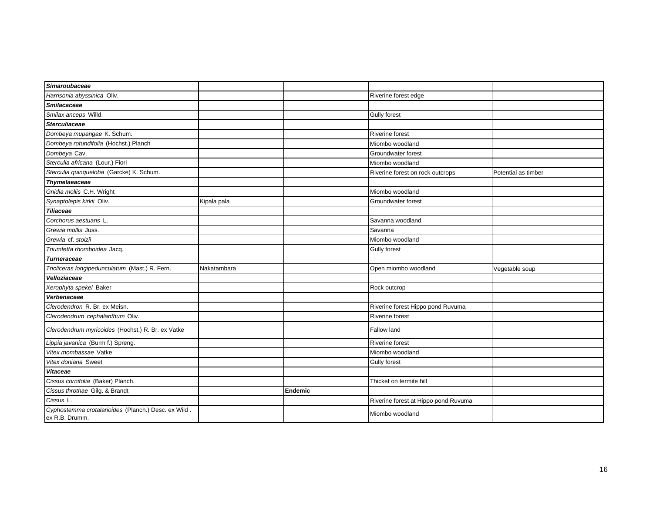| <b>Simaroubaceae</b>                                                  |             |         |                                      |                     |
|-----------------------------------------------------------------------|-------------|---------|--------------------------------------|---------------------|
| Harrisonia abyssinica Oliv.                                           |             |         | Riverine forest edge                 |                     |
| <b>Smilacaceae</b>                                                    |             |         |                                      |                     |
| Smilax anceps Willd.                                                  |             |         | <b>Gully forest</b>                  |                     |
| <b>Sterculiaceae</b>                                                  |             |         |                                      |                     |
| Dombeya mupangae K. Schum.                                            |             |         | <b>Riverine forest</b>               |                     |
| Dombeya rotundifolia (Hochst.) Planch                                 |             |         | Miombo woodland                      |                     |
| Dombeya Cav.                                                          |             |         | Groundwater forest                   |                     |
| Sterculia africana (Lour.) Fiori                                      |             |         | Miombo woodland                      |                     |
| Sterculia quinqueloba (Garcke) K. Schum.                              |             |         | Riverine forest on rock outcrops     | Potential as timber |
| <b>Thymelaeaceae</b>                                                  |             |         |                                      |                     |
| Gnidia mollis C.H. Wright                                             |             |         | Miombo woodland                      |                     |
| Synaptolepis kirkii Oliv.                                             | Kipala pala |         | Groundwater forest                   |                     |
| <b>Tiliaceae</b>                                                      |             |         |                                      |                     |
| Corchorus aestuans L.                                                 |             |         | Savanna woodland                     |                     |
| Grewia mollis Juss.                                                   |             |         | Savanna                              |                     |
| Grewia cf. stolzii                                                    |             |         | Miombo woodland                      |                     |
| Triumfetta rhomboidea Jacq.                                           |             |         | <b>Gully forest</b>                  |                     |
| <b>Turneraceae</b>                                                    |             |         |                                      |                     |
| Tricliceras longipedunculatum (Mast.) R. Fern.                        | Nakatambara |         | Open miombo woodland                 | Vegetable soup      |
| Velloziaceae                                                          |             |         |                                      |                     |
| Xerophyta spekei Baker                                                |             |         | Rock outcrop                         |                     |
| Verbenaceae                                                           |             |         |                                      |                     |
| Clerodendron R. Br. ex Meisn.                                         |             |         | Riverine forest Hippo pond Ruvuma    |                     |
| Clerodendrum cephalanthum Oliv.                                       |             |         | <b>Riverine forest</b>               |                     |
| Clerodendrum myricoides (Hochst.) R. Br. ex Vatke                     |             |         | Fallow land                          |                     |
| Lippia javanica (Burm f.) Spreng.                                     |             |         | <b>Riverine forest</b>               |                     |
| Vitex mombassae Vatke                                                 |             |         | Miombo woodland                      |                     |
| Vitex doniana Sweet                                                   |             |         | <b>Gully forest</b>                  |                     |
| <b>Vitaceae</b>                                                       |             |         |                                      |                     |
| Cissus cornifolia (Baker) Planch.                                     |             |         | Thicket on termite hill              |                     |
| Cissus throthae Gilg. & Brandt                                        |             | Endemic |                                      |                     |
| Cissus L.                                                             |             |         | Riverine forest at Hippo pond Ruvuma |                     |
| Cyphostemma crotalarioides (Planch.) Desc. ex Wild.<br>ex R.B. Drumm. |             |         | Miombo woodland                      |                     |